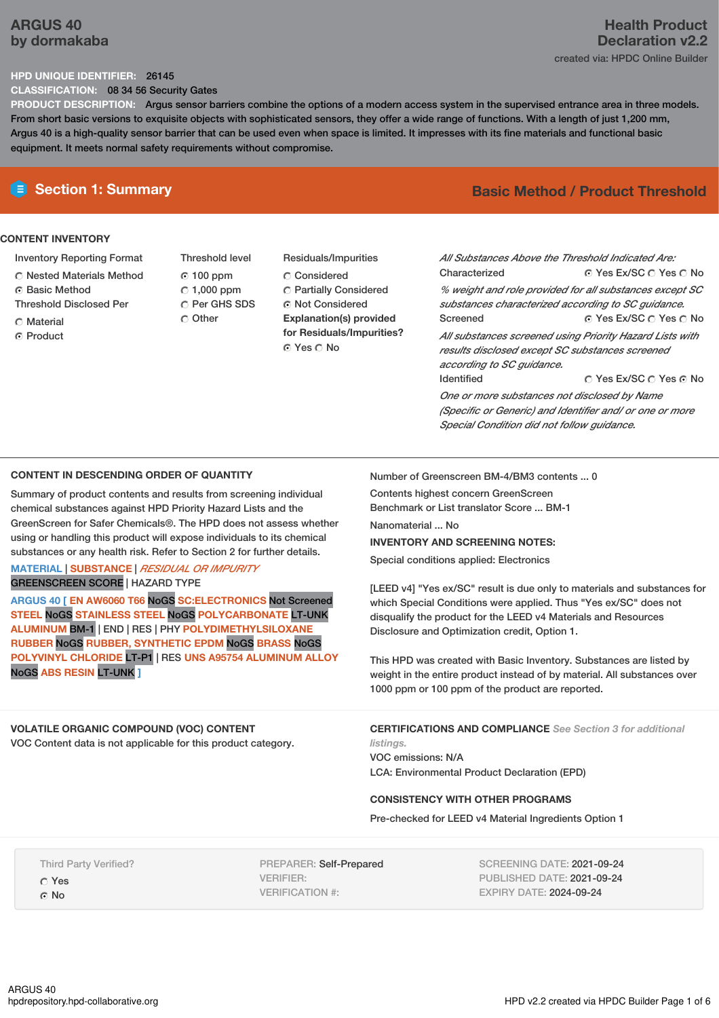# **ARGUS 40 by dormakaba**

# **Health Product Declaration v2.2** created via: HPDC Online Builder

### **HPD UNIQUE IDENTIFIER:** 26145

**CLASSIFICATION:** 08 34 56 Security Gates

**PRODUCT DESCRIPTION:** Argus sensor barriers combine the options of a modern access system in the supervised entrance area in three models. From short basic versions to exquisite objects with sophisticated sensors, they offer a wide range of functions. With a length of just 1,200 mm, Argus 40 is a high-quality sensor barrier that can be used even when space is limited. It impresses with its fine materials and functional basic equipment. It meets normal safety requirements without compromise.

## **CONTENT INVENTORY**

- Inventory Reporting Format
- Nested Materials Method
- **G** Basic Method
- Threshold Disclosed Per
- **C** Material
- C Product
- Threshold level  $0.100$  ppm  $C$  1,000 ppm C Per GHS SDS Other
- Residuals/Impurities Considered Partially Considered Not Considered **Explanation(s) provided for Residuals/Impurities?** © Yes ∩ No

# **E** Section 1: Summary **Basic Method /** Product Threshold

© Yes Ex/SC ∩ Yes ∩ No © Yes Ex/SC  $\bigcirc$  Yes  $\bigcirc$  No © Yes Ex/SC © Yes © No *All Substances Above the Threshold Indicated Are:* Characterized *% weight and role provided for all substances except SC substances characterized according to SC guidance.* Screened *All substances screened using Priority Hazard Lists with results disclosed except SC substances screened according to SC guidance.* Identified

*One or more substances not disclosed by Name (Specific or Generic) and Identifier and/ or one or more Special Condition did not follow guidance.*

### **CONTENT IN DESCENDING ORDER OF QUANTITY**

Summary of product contents and results from screening individual chemical substances against HPD Priority Hazard Lists and the GreenScreen for Safer Chemicals®. The HPD does not assess whether using or handling this product will expose individuals to its chemical substances or any health risk. Refer to Section 2 for further details.

**MATERIAL** | **SUBSTANCE** | *RESIDUAL OR IMPURITY* GREENSCREEN SCORE | HAZARD TYPE

**ARGUS 40 [ EN AW6060 T66** NoGS **SC:ELECTRONICS** Not Screened **STEEL** NoGS **STAINLESS STEEL** NoGS **POLYCARBONATE** LT-UNK **ALUMINUM** BM-1 | END | RES | PHY **POLYDIMETHYLSILOXANE RUBBER** NoGS **RUBBER, SYNTHETIC EPDM** NoGS **BRASS** NoGS **POLYVINYL CHLORIDE** LT-P1 | RES **UNS A95754 ALUMINUM ALLOY** NoGS **ABS RESIN** LT-UNK **]**

### **VOLATILE ORGANIC COMPOUND (VOC) CONTENT**

VOC Content data is not applicable for this product category.

Number of Greenscreen BM-4/BM3 contents ... 0

Contents highest concern GreenScreen Benchmark or List translator Score ... BM-1 Nanomaterial ... No

### **INVENTORY AND SCREENING NOTES:**

Special conditions applied: Electronics

[LEED v4] "Yes ex/SC" result is due only to materials and substances for which Special Conditions were applied. Thus "Yes ex/SC" does not disqualify the product for the LEED v4 Materials and Resources Disclosure and Optimization credit, Option 1.

This HPD was created with Basic Inventory. Substances are listed by weight in the entire product instead of by material. All substances over 1000 ppm or 100 ppm of the product are reported.

**CERTIFICATIONS AND COMPLIANCE** *See Section 3 for additional listings.*

VOC emissions: N/A LCA: Environmental Product Declaration (EPD)

### **CONSISTENCY WITH OTHER PROGRAMS**

Pre-checked for LEED v4 Material Ingredients Option 1

Third Party Verified? Yes G No

PREPARER: Self-Prepared VERIFIER: VERIFICATION #:

SCREENING DATE: 2021-09-24 PUBLISHED DATE: 2021-09-24 EXPIRY DATE: 2024-09-24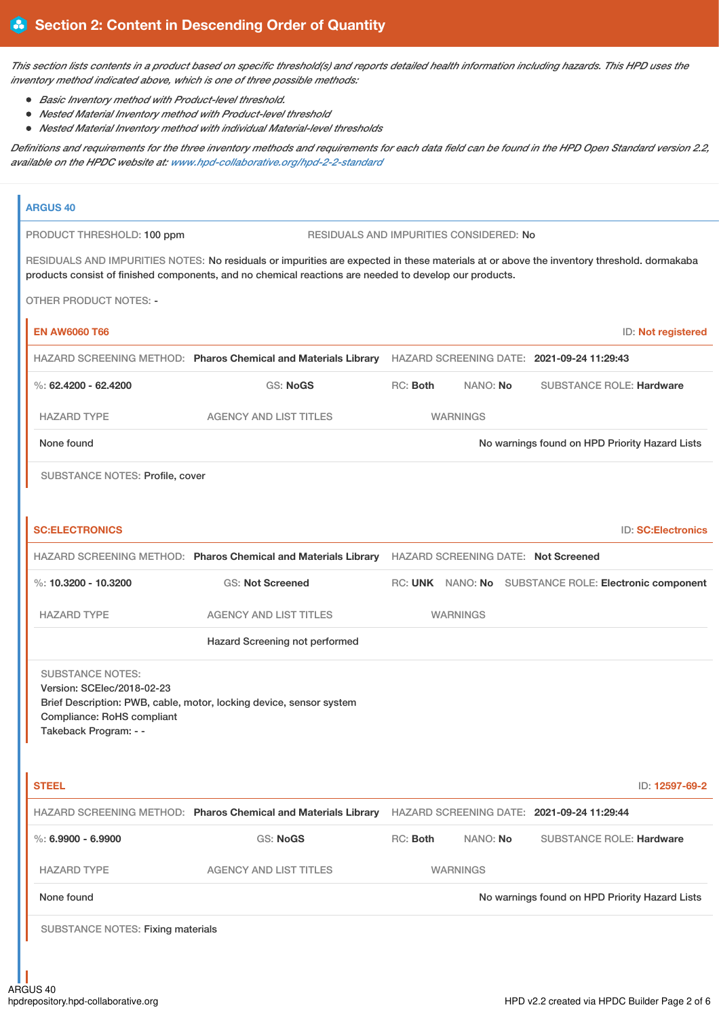This section lists contents in a product based on specific threshold(s) and reports detailed health information including hazards. This HPD uses the *inventory method indicated above, which is one of three possible methods:*

- *Basic Inventory method with Product-level threshold.*
- *Nested Material Inventory method with Product-level threshold*
- *Nested Material Inventory method with individual Material-level thresholds*

Definitions and requirements for the three inventory methods and requirements for each data field can be found in the HPD Open Standard version 2.2, *available on the HPDC website at: [www.hpd-collaborative.org/hpd-2-2-standard](https://www.hpd-collaborative.org/hpd-2-2-standard)*

| <b>ARGUS 40</b>                                                                                              |                                                                                                                                                                                                                                                     |                                                |                                         |                                                       |
|--------------------------------------------------------------------------------------------------------------|-----------------------------------------------------------------------------------------------------------------------------------------------------------------------------------------------------------------------------------------------------|------------------------------------------------|-----------------------------------------|-------------------------------------------------------|
| PRODUCT THRESHOLD: 100 ppm                                                                                   |                                                                                                                                                                                                                                                     |                                                | RESIDUALS AND IMPURITIES CONSIDERED: No |                                                       |
|                                                                                                              | RESIDUALS AND IMPURITIES NOTES: No residuals or impurities are expected in these materials at or above the inventory threshold. dormakaba<br>products consist of finished components, and no chemical reactions are needed to develop our products. |                                                |                                         |                                                       |
| <b>OTHER PRODUCT NOTES: -</b>                                                                                |                                                                                                                                                                                                                                                     |                                                |                                         |                                                       |
| <b>EN AW6060 T66</b>                                                                                         |                                                                                                                                                                                                                                                     |                                                |                                         | ID: Not registered                                    |
|                                                                                                              | HAZARD SCREENING METHOD: Pharos Chemical and Materials Library                                                                                                                                                                                      |                                                |                                         | HAZARD SCREENING DATE: 2021-09-24 11:29:43            |
| %: $62.4200 - 62.4200$                                                                                       | <b>GS: NoGS</b>                                                                                                                                                                                                                                     | RC: Both                                       | NANO: No                                | <b>SUBSTANCE ROLE: Hardware</b>                       |
| <b>HAZARD TYPE</b>                                                                                           | <b>AGENCY AND LIST TITLES</b>                                                                                                                                                                                                                       |                                                | <b>WARNINGS</b>                         |                                                       |
| None found                                                                                                   |                                                                                                                                                                                                                                                     | No warnings found on HPD Priority Hazard Lists |                                         |                                                       |
| <b>SUBSTANCE NOTES: Profile, cover</b>                                                                       |                                                                                                                                                                                                                                                     |                                                |                                         |                                                       |
| <b>SC:ELECTRONICS</b>                                                                                        |                                                                                                                                                                                                                                                     |                                                |                                         | <b>ID: SC:Electronics</b>                             |
|                                                                                                              | HAZARD SCREENING METHOD: Pharos Chemical and Materials Library HAZARD SCREENING DATE: Not Screened                                                                                                                                                  |                                                |                                         |                                                       |
| %: $10.3200 - 10.3200$                                                                                       | <b>GS: Not Screened</b>                                                                                                                                                                                                                             |                                                |                                         | RC: UNK NANO: No SUBSTANCE ROLE: Electronic component |
| <b>HAZARD TYPE</b>                                                                                           | <b>AGENCY AND LIST TITLES</b>                                                                                                                                                                                                                       |                                                | <b>WARNINGS</b>                         |                                                       |
|                                                                                                              | Hazard Screening not performed                                                                                                                                                                                                                      |                                                |                                         |                                                       |
| <b>SUBSTANCE NOTES:</b><br>Version: SCElec/2018-02-23<br>Compliance: RoHS compliant<br>Takeback Program: - - | Brief Description: PWB, cable, motor, locking device, sensor system                                                                                                                                                                                 |                                                |                                         |                                                       |
| <b>STEEL</b>                                                                                                 |                                                                                                                                                                                                                                                     |                                                |                                         | ID: 12597-69-2                                        |
|                                                                                                              | HAZARD SCREENING METHOD: Pharos Chemical and Materials Library                                                                                                                                                                                      |                                                |                                         | HAZARD SCREENING DATE: 2021-09-24 11:29:44            |
| $\%$ : 6.9900 - 6.9900                                                                                       | GS: NoGS                                                                                                                                                                                                                                            | RC: Both                                       | NANO: No                                | <b>SUBSTANCE ROLE: Hardware</b>                       |
| <b>HAZARD TYPE</b>                                                                                           | <b>AGENCY AND LIST TITLES</b>                                                                                                                                                                                                                       |                                                | <b>WARNINGS</b>                         |                                                       |
| None found                                                                                                   |                                                                                                                                                                                                                                                     | No warnings found on HPD Priority Hazard Lists |                                         |                                                       |
| <b>SUBSTANCE NOTES: Fixing materials</b>                                                                     |                                                                                                                                                                                                                                                     |                                                |                                         |                                                       |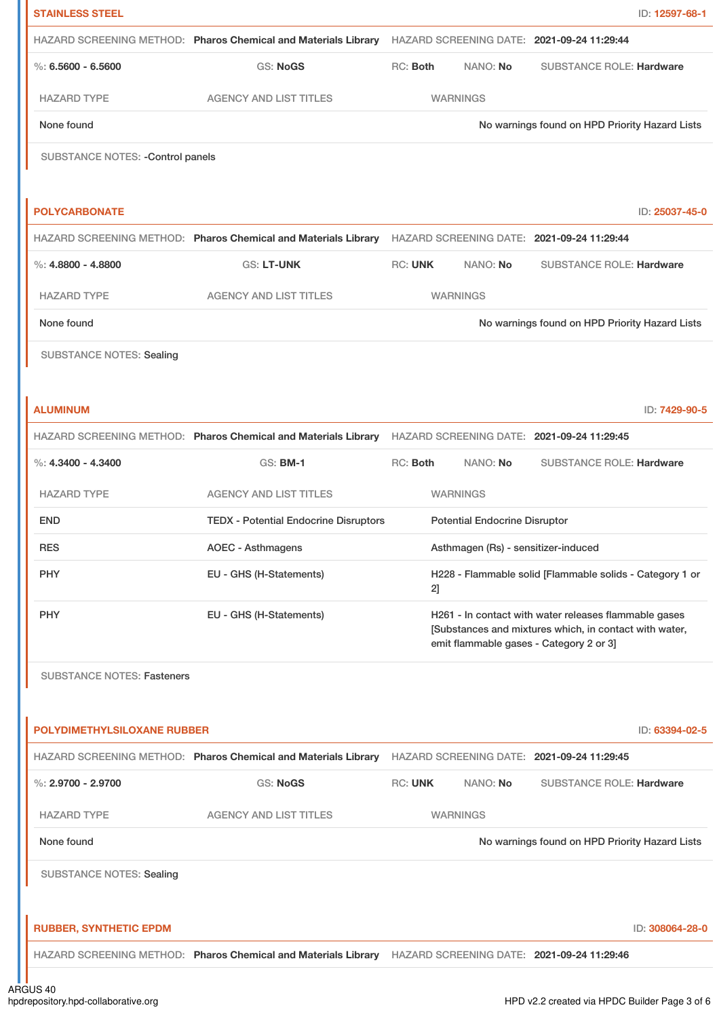| <b>STAINLESS STEEL</b>             |                                                                                                           |                |    |                                      |                                                                                                                                                            | ID: 12597-68-1  |
|------------------------------------|-----------------------------------------------------------------------------------------------------------|----------------|----|--------------------------------------|------------------------------------------------------------------------------------------------------------------------------------------------------------|-----------------|
|                                    | HAZARD SCREENING METHOD: Pharos Chemical and Materials Library                                            |                |    |                                      | HAZARD SCREENING DATE: 2021-09-24 11:29:44                                                                                                                 |                 |
| $\%$ : 6.5600 - 6.5600             | <b>GS: NoGS</b>                                                                                           | RC: Both       |    | NANO: No                             | <b>SUBSTANCE ROLE: Hardware</b>                                                                                                                            |                 |
| <b>HAZARD TYPE</b>                 | <b>AGENCY AND LIST TITLES</b>                                                                             |                |    | <b>WARNINGS</b>                      |                                                                                                                                                            |                 |
| None found                         |                                                                                                           |                |    |                                      | No warnings found on HPD Priority Hazard Lists                                                                                                             |                 |
| SUBSTANCE NOTES: - Control panels  |                                                                                                           |                |    |                                      |                                                                                                                                                            |                 |
|                                    |                                                                                                           |                |    |                                      |                                                                                                                                                            |                 |
| <b>POLYCARBONATE</b>               |                                                                                                           |                |    |                                      |                                                                                                                                                            | ID: 25037-45-0  |
|                                    | HAZARD SCREENING METHOD: Pharos Chemical and Materials Library HAZARD SCREENING DATE: 2021-09-24 11:29:44 |                |    |                                      |                                                                                                                                                            |                 |
| $\%$ : 4.8800 - 4.8800             | <b>GS: LT-UNK</b>                                                                                         | <b>RC: UNK</b> |    | NANO: No                             | <b>SUBSTANCE ROLE: Hardware</b>                                                                                                                            |                 |
| <b>HAZARD TYPE</b>                 | <b>AGENCY AND LIST TITLES</b>                                                                             |                |    | <b>WARNINGS</b>                      |                                                                                                                                                            |                 |
| None found                         |                                                                                                           |                |    |                                      | No warnings found on HPD Priority Hazard Lists                                                                                                             |                 |
| <b>SUBSTANCE NOTES: Sealing</b>    |                                                                                                           |                |    |                                      |                                                                                                                                                            |                 |
|                                    |                                                                                                           |                |    |                                      |                                                                                                                                                            |                 |
| <b>ALUMINUM</b>                    |                                                                                                           |                |    |                                      |                                                                                                                                                            | ID: 7429-90-5   |
|                                    | HAZARD SCREENING METHOD: Pharos Chemical and Materials Library HAZARD SCREENING DATE: 2021-09-24 11:29:45 |                |    |                                      |                                                                                                                                                            |                 |
| $\%$ : 4.3400 - 4.3400             | GS: BM-1                                                                                                  | RC: Both       |    | NANO: No                             | <b>SUBSTANCE ROLE: Hardware</b>                                                                                                                            |                 |
| <b>HAZARD TYPE</b>                 | <b>AGENCY AND LIST TITLES</b>                                                                             |                |    | <b>WARNINGS</b>                      |                                                                                                                                                            |                 |
| <b>END</b>                         | <b>TEDX - Potential Endocrine Disruptors</b>                                                              |                |    | <b>Potential Endocrine Disruptor</b> |                                                                                                                                                            |                 |
| <b>RES</b>                         | <b>AOEC - Asthmagens</b>                                                                                  |                |    |                                      | Asthmagen (Rs) - sensitizer-induced                                                                                                                        |                 |
| <b>PHY</b>                         | EU - GHS (H-Statements)                                                                                   |                | 21 |                                      | H228 - Flammable solid [Flammable solids - Category 1 or                                                                                                   |                 |
| <b>PHY</b>                         | EU - GHS (H-Statements)                                                                                   |                |    |                                      | H261 - In contact with water releases flammable gases<br>[Substances and mixtures which, in contact with water,<br>emit flammable gases - Category 2 or 3] |                 |
| <b>SUBSTANCE NOTES: Fasteners</b>  |                                                                                                           |                |    |                                      |                                                                                                                                                            |                 |
|                                    |                                                                                                           |                |    |                                      |                                                                                                                                                            |                 |
| <b>POLYDIMETHYLSILOXANE RUBBER</b> |                                                                                                           |                |    |                                      |                                                                                                                                                            | ID: 63394-02-5  |
|                                    | HAZARD SCREENING METHOD: Pharos Chemical and Materials Library HAZARD SCREENING DATE: 2021-09-24 11:29:45 |                |    |                                      |                                                                                                                                                            |                 |
| %: $2.9700 - 2.9700$               | <b>GS: NoGS</b>                                                                                           | <b>RC: UNK</b> |    | NANO: No                             | <b>SUBSTANCE ROLE: Hardware</b>                                                                                                                            |                 |
| <b>HAZARD TYPE</b>                 | <b>AGENCY AND LIST TITLES</b>                                                                             |                |    | <b>WARNINGS</b>                      |                                                                                                                                                            |                 |
| None found                         |                                                                                                           |                |    |                                      | No warnings found on HPD Priority Hazard Lists                                                                                                             |                 |
| <b>SUBSTANCE NOTES: Sealing</b>    |                                                                                                           |                |    |                                      |                                                                                                                                                            |                 |
| <b>RUBBER, SYNTHETIC EPDM</b>      |                                                                                                           |                |    |                                      |                                                                                                                                                            | ID: 308064-28-0 |
|                                    | HAZARD SCREENING METHOD: Pharos Chemical and Materials Library HAZARD SCREENING DATE: 2021-09-24 11:29:46 |                |    |                                      |                                                                                                                                                            |                 |
|                                    |                                                                                                           |                |    |                                      |                                                                                                                                                            |                 |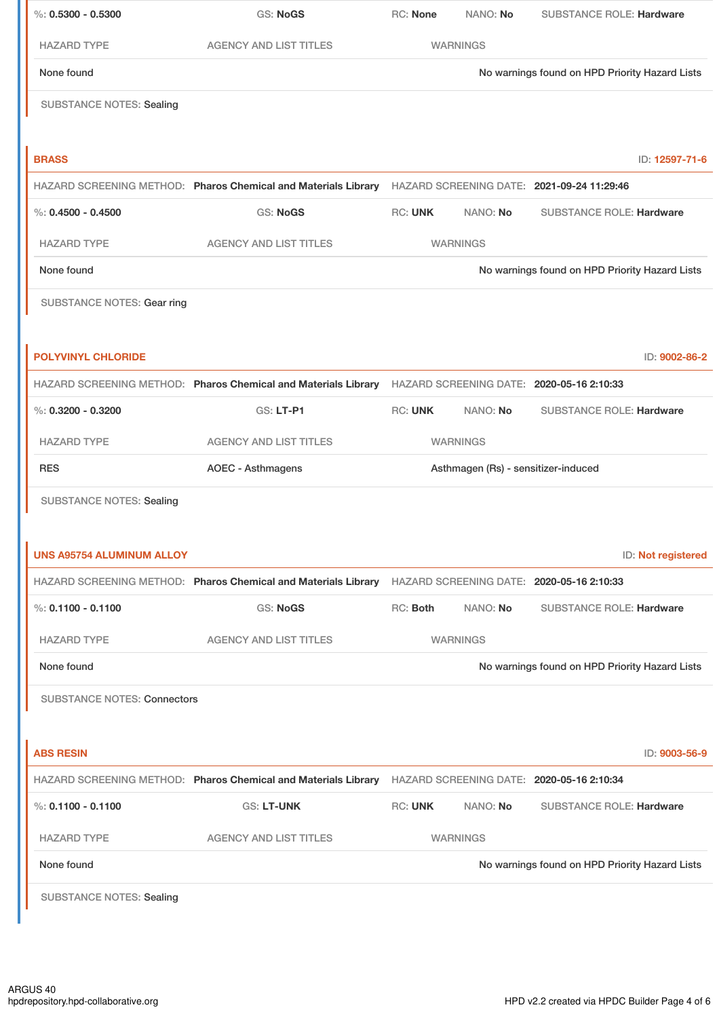| $\%$ : 0.5300 - 0.5300             | <b>GS: NoGS</b>                                                                                           | RC: None       | NANO: No                            | <b>SUBSTANCE ROLE: Hardware</b>                |
|------------------------------------|-----------------------------------------------------------------------------------------------------------|----------------|-------------------------------------|------------------------------------------------|
| <b>HAZARD TYPE</b>                 | <b>AGENCY AND LIST TITLES</b>                                                                             |                | <b>WARNINGS</b>                     |                                                |
| None found                         |                                                                                                           |                |                                     | No warnings found on HPD Priority Hazard Lists |
| <b>SUBSTANCE NOTES: Sealing</b>    |                                                                                                           |                |                                     |                                                |
|                                    |                                                                                                           |                |                                     |                                                |
| <b>BRASS</b>                       |                                                                                                           |                |                                     | ID: 12597-71-6                                 |
|                                    | HAZARD SCREENING METHOD: Pharos Chemical and Materials Library HAZARD SCREENING DATE: 2021-09-24 11:29:46 |                |                                     |                                                |
| $\%$ : 0.4500 - 0.4500             | <b>GS: NoGS</b>                                                                                           | <b>RC: UNK</b> | NANO: No                            | <b>SUBSTANCE ROLE: Hardware</b>                |
| <b>HAZARD TYPE</b>                 | <b>AGENCY AND LIST TITLES</b>                                                                             |                | <b>WARNINGS</b>                     |                                                |
| None found                         |                                                                                                           |                |                                     | No warnings found on HPD Priority Hazard Lists |
| <b>SUBSTANCE NOTES: Gear ring</b>  |                                                                                                           |                |                                     |                                                |
|                                    |                                                                                                           |                |                                     |                                                |
| <b>POLYVINYL CHLORIDE</b>          |                                                                                                           |                |                                     | ID: 9002-86-2                                  |
|                                    | HAZARD SCREENING METHOD: Pharos Chemical and Materials Library HAZARD SCREENING DATE: 2020-05-16 2:10:33  |                |                                     |                                                |
| $\%$ : 0.3200 - 0.3200             | GS: LT-P1                                                                                                 | <b>RC: UNK</b> | NANO: No                            | <b>SUBSTANCE ROLE: Hardware</b>                |
| <b>HAZARD TYPE</b>                 | <b>AGENCY AND LIST TITLES</b>                                                                             |                | <b>WARNINGS</b>                     |                                                |
| <b>RES</b>                         | <b>AOEC - Asthmagens</b>                                                                                  |                | Asthmagen (Rs) - sensitizer-induced |                                                |
| <b>SUBSTANCE NOTES: Sealing</b>    |                                                                                                           |                |                                     |                                                |
|                                    |                                                                                                           |                |                                     |                                                |
| <b>UNS A95754 ALUMINUM ALLOY</b>   |                                                                                                           |                |                                     | ID: Not registered                             |
|                                    | HAZARD SCREENING METHOD: Pharos Chemical and Materials Library                                            |                |                                     | HAZARD SCREENING DATE: 2020-05-16 2:10:33      |
| %: $0.1100 - 0.1100$               | <b>GS: NoGS</b>                                                                                           | RC: Both       | NANO: No                            | <b>SUBSTANCE ROLE: Hardware</b>                |
| <b>HAZARD TYPE</b>                 | <b>AGENCY AND LIST TITLES</b>                                                                             |                | <b>WARNINGS</b>                     |                                                |
| None found                         |                                                                                                           |                |                                     | No warnings found on HPD Priority Hazard Lists |
| <b>SUBSTANCE NOTES: Connectors</b> |                                                                                                           |                |                                     |                                                |
|                                    |                                                                                                           |                |                                     |                                                |
| <b>ABS RESIN</b>                   |                                                                                                           |                |                                     | ID: 9003-56-9                                  |
|                                    | HAZARD SCREENING METHOD: Pharos Chemical and Materials Library HAZARD SCREENING DATE: 2020-05-16 2:10:34  |                |                                     |                                                |
| $\%$ : 0.1100 - 0.1100             | GS: LT-UNK                                                                                                | <b>RC: UNK</b> | NANO: No                            | <b>SUBSTANCE ROLE: Hardware</b>                |
| <b>HAZARD TYPE</b>                 | <b>AGENCY AND LIST TITLES</b>                                                                             |                | <b>WARNINGS</b>                     |                                                |
| None found                         |                                                                                                           |                |                                     | No warnings found on HPD Priority Hazard Lists |
| <b>SUBSTANCE NOTES: Sealing</b>    |                                                                                                           |                |                                     |                                                |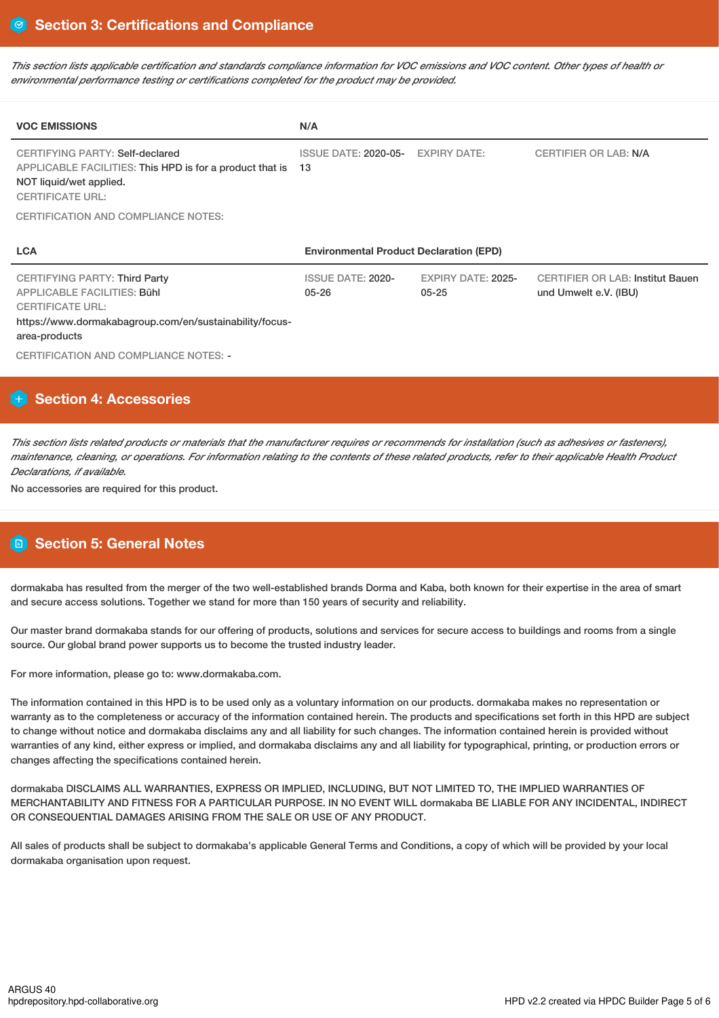This section lists applicable certification and standards compliance information for VOC emissions and VOC content. Other types of health or *environmental performance testing or certifications completed for the product may be provided.*

| <b>VOC EMISSIONS</b>                                                                                                                                                              | N/A                                            |                                        |                                                                  |
|-----------------------------------------------------------------------------------------------------------------------------------------------------------------------------------|------------------------------------------------|----------------------------------------|------------------------------------------------------------------|
| CERTIFYING PARTY: Self-declared<br>APPLICABLE FACILITIES: This HPD is for a product that is<br>NOT liquid/wet applied.<br><b>CERTIFICATE URL:</b>                                 | <b>ISSUE DATE: 2020-05-</b><br>13              | <b>EXPIRY DATE:</b>                    | <b>CERTIFIER OR LAB: N/A</b>                                     |
| CERTIFICATION AND COMPLIANCE NOTES:                                                                                                                                               |                                                |                                        |                                                                  |
|                                                                                                                                                                                   |                                                |                                        |                                                                  |
| <b>LCA</b>                                                                                                                                                                        | <b>Environmental Product Declaration (EPD)</b> |                                        |                                                                  |
| <b>CERTIFYING PARTY: Third Party</b><br><b>APPLICABLE FACILITIES: Bühl</b><br><b>CERTIFICATE URL:</b><br>https://www.dormakabagroup.com/en/sustainability/focus-<br>area-products | <b>ISSUE DATE: 2020-</b><br>$05 - 26$          | <b>EXPIRY DATE: 2025-</b><br>$05 - 25$ | <b>CERTIFIER OR LAB: Institut Bauen</b><br>und Umwelt e.V. (IBU) |

# **Section 4: Accessories**

This section lists related products or materials that the manufacturer requires or recommends for installation (such as adhesives or fasteners), maintenance, cleaning, or operations. For information relating to the contents of these related products, refer to their applicable Health Product *Declarations, if available.*

No accessories are required for this product.

# **Section 5: General Notes**

dormakaba has resulted from the merger of the two well-established brands Dorma and Kaba, both known for their expertise in the area of smart and secure access solutions. Together we stand for more than 150 years of security and reliability.

Our master brand dormakaba stands for our offering of products, solutions and services for secure access to buildings and rooms from a single source. Our global brand power supports us to become the trusted industry leader.

For more information, please go to: www.dormakaba.com.

The information contained in this HPD is to be used only as a voluntary information on our products. dormakaba makes no representation or warranty as to the completeness or accuracy of the information contained herein. The products and specifications set forth in this HPD are subject to change without notice and dormakaba disclaims any and all liability for such changes. The information contained herein is provided without warranties of any kind, either express or implied, and dormakaba disclaims any and all liability for typographical, printing, or production errors or changes affecting the specifications contained herein.

dormakaba DISCLAIMS ALL WARRANTIES, EXPRESS OR IMPLIED, INCLUDING, BUT NOT LIMITED TO, THE IMPLIED WARRANTIES OF MERCHANTABILITY AND FITNESS FOR A PARTICULAR PURPOSE. IN NO EVENT WILL dormakaba BE LIABLE FOR ANY INCIDENTAL, INDIRECT OR CONSEQUENTIAL DAMAGES ARISING FROM THE SALE OR USE OF ANY PRODUCT.

All sales of products shall be subject to dormakaba's applicable General Terms and Conditions, a copy of which will be provided by your local dormakaba organisation upon request.